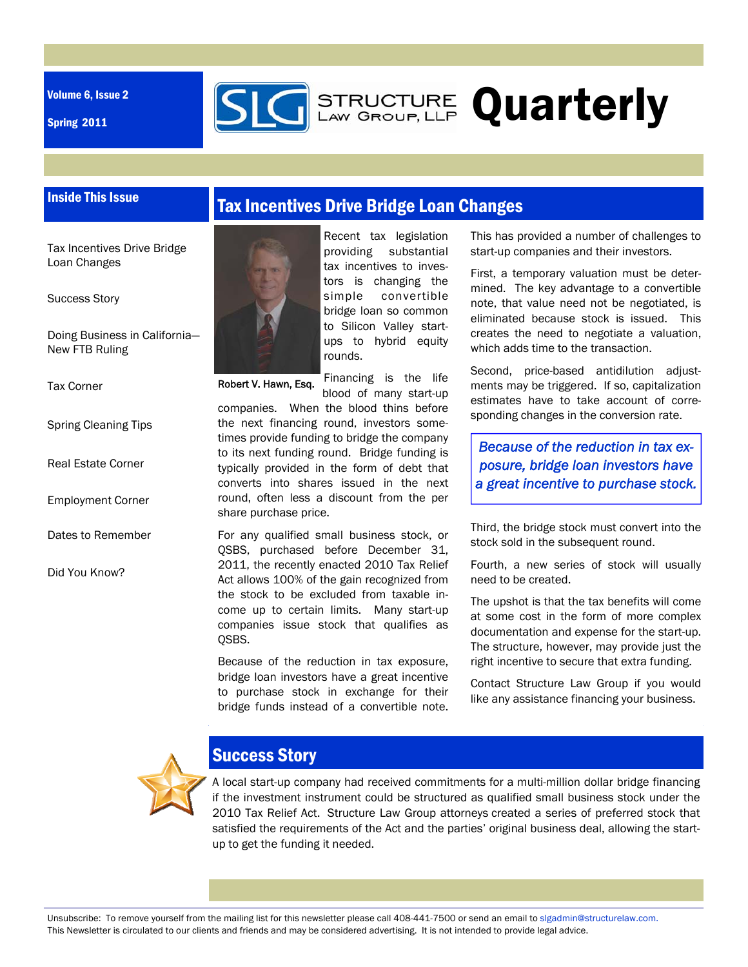Volume 6, Issue 2

Spring 2011



# **G** STRUCTURE Quarterly

### Inside This Issue

Tax Incentives Drive Bridge Loan Changes

Success Story

Doing Business in California— New FTB Ruling

Tax Corner

Spring Cleaning Tips

Real Estate Corner

Employment Corner

Dates to Remember

Did You Know?





tax incentives to investors is changing the simple convertible bridge loan so common to Silicon Valley startups to hybrid equity rounds.

Recent tax legislation providing substantial

Financing is the life Robert V. Hawn, Esq.

blood of many start-up companies. When the blood thins before the next financing round, investors sometimes provide funding to bridge the company to its next funding round. Bridge funding is typically provided in the form of debt that converts into shares issued in the next round, often less a discount from the per share purchase price.

For any qualified small business stock, or QSBS, purchased before December 31, 2011, the recently enacted 2010 Tax Relief Act allows 100% of the gain recognized from the stock to be excluded from taxable income up to certain limits. Many start-up companies issue stock that qualifies as QSBS.

Because of the reduction in tax exposure, bridge loan investors have a great incentive to purchase stock in exchange for their bridge funds instead of a convertible note. This has provided a number of challenges to start-up companies and their investors.

First, a temporary valuation must be determined. The key advantage to a convertible note, that value need not be negotiated, is eliminated because stock is issued. This creates the need to negotiate a valuation, which adds time to the transaction.

Second, price-based antidilution adjustments may be triggered. If so, capitalization estimates have to take account of corresponding changes in the conversion rate.

*Because of the reduction in tax exposure, bridge loan investors have a great incentive to purchase stock.*

Third, the bridge stock must convert into the stock sold in the subsequent round.

Fourth, a new series of stock will usually need to be created.

The upshot is that the tax benefits will come at some cost in the form of more complex documentation and expense for the start-up. The structure, however, may provide just the right incentive to secure that extra funding.

Contact Structure Law Group if you would like any assistance financing your business.



# Success Story

A local start-up company had received commitments for a multi-million dollar bridge financing if the investment instrument could be structured as qualified small business stock under the 2010 Tax Relief Act. Structure Law Group attorneys created a series of preferred stock that satisfied the requirements of the Act and the parties' original business deal, allowing the startup to get the funding it needed.

Unsubscribe: To remove yourself from the mailing list for this newsletter please call 408-441-7500 or send an email to slgadmin@structurelaw.com. This Newsletter is circulated to our clients and friends and may be considered advertising. It is not intended to provide legal advice.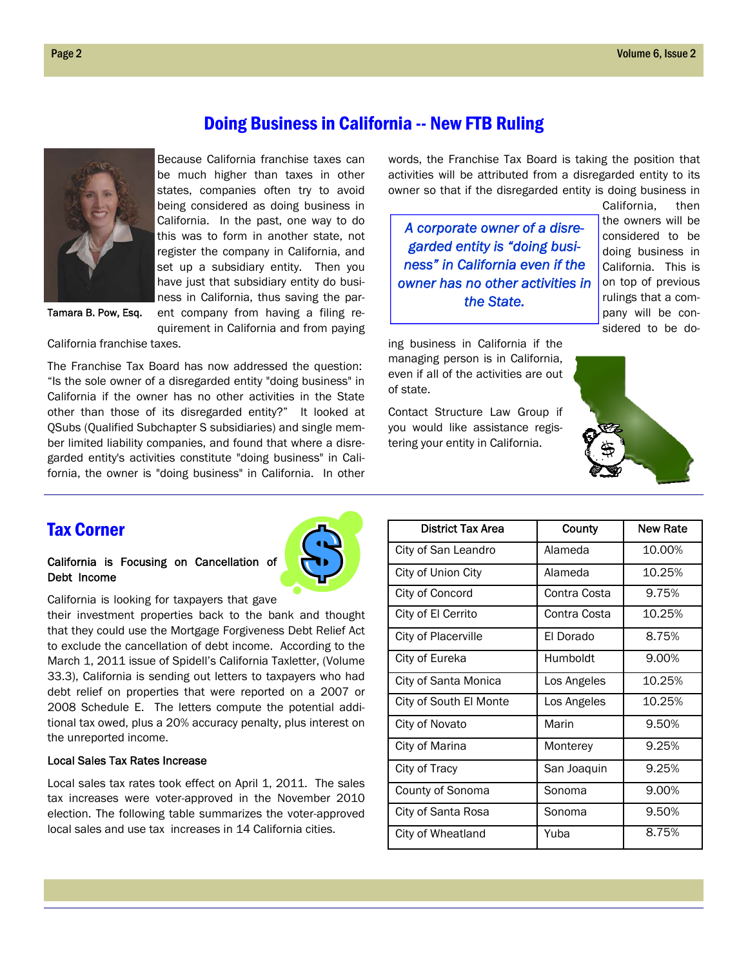

Doing Business in California -- New FTB Ruling

Because California franchise taxes can be much higher than taxes in other states, companies often try to avoid being considered as doing business in California. In the past, one way to do this was to form in another state, not register the company in California, and set up a subsidiary entity. Then you have just that subsidiary entity do business in California, thus saving the parent company from having a filing re-

Tamara B. Pow, Esq.

quirement in California and from paying

California franchise taxes.

The Franchise Tax Board has now addressed the question: "Is the sole owner of a disregarded entity "doing business" in California if the owner has no other activities in the State other than those of its disregarded entity?" It looked at QSubs (Qualified Subchapter S subsidiaries) and single member limited liability companies, and found that where a disregarded entity's activities constitute "doing business" in California, the owner is "doing business" in California. In other words, the Franchise Tax Board is taking the position that activities will be attributed from a disregarded entity to its owner so that if the disregarded entity is doing business in

*A corporate owner of a disregarded entity is "doing business" in California even if the owner has no other activities in the State.* 

ing business in California if the managing person is in California, even if all of the activities are out of state.

Contact Structure Law Group if you would like assistance registering your entity in California.



California, then the owners will be



## Tax Corner

### California is Focusing on Cancellation of Debt Income



California is looking for taxpayers that gave

their investment properties back to the bank and thought that they could use the Mortgage Forgiveness Debt Relief Act to exclude the cancellation of debt income. According to the March 1, 2011 issue of Spidell's California Taxletter, (Volume 33.3), California is sending out letters to taxpayers who had debt relief on properties that were reported on a 2007 or 2008 Schedule E. The letters compute the potential additional tax owed, plus a 20% accuracy penalty, plus interest on the unreported income.

### Local Sales Tax Rates Increase

Local sales tax rates took effect on April 1, 2011. The sales tax increases were voter-approved in the November 2010 election. The following table summarizes the voter-approved local sales and use tax increases in 14 California cities.

| <b>District Tax Area</b> | County       | New Rate |
|--------------------------|--------------|----------|
| City of San Leandro      | Alameda      | 10.00%   |
| City of Union City       | Alameda      | 10.25%   |
| City of Concord          | Contra Costa | 9.75%    |
| City of El Cerrito       | Contra Costa | 10.25%   |
| City of Placerville      | El Dorado    | 8.75%    |
| City of Eureka           | Humboldt     | 9.00%    |
| City of Santa Monica     | Los Angeles  | 10.25%   |
| City of South El Monte   | Los Angeles  | 10.25%   |
| City of Novato           | Marin        | 9.50%    |
| City of Marina           | Monterey     | 9.25%    |
| City of Tracy            | San Joaquin  | 9.25%    |
| County of Sonoma         | Sonoma       | 9.00%    |
| City of Santa Rosa       | Sonoma       | 9.50%    |
| City of Wheatland        | Yuba         | 8.75%    |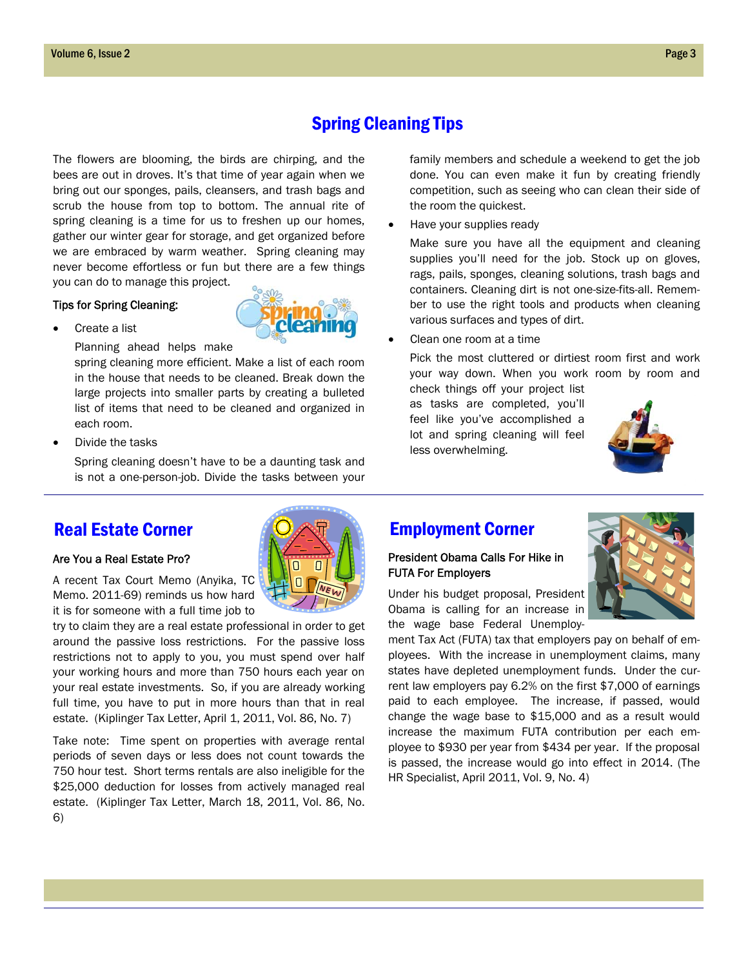# Spring Cleaning Tips

The flowers are blooming, the birds are chirping, and the bees are out in droves. It's that time of year again when we bring out our sponges, pails, cleansers, and trash bags and scrub the house from top to bottom. The annual rite of spring cleaning is a time for us to freshen up our homes, gather our winter gear for storage, and get organized before we are embraced by warm weather. Spring cleaning may never become effortless or fun but there are a few things you can do to manage this project.

### Tips for Spring Cleaning:

Create a list

Planning ahead helps make

spring cleaning more efficient. Make a list of each room in the house that needs to be cleaned. Break down the large projects into smaller parts by creating a bulleted list of items that need to be cleaned and organized in each room.

Divide the tasks

Spring cleaning doesn't have to be a daunting task and is not a one-person-job. Divide the tasks between your family members and schedule a weekend to get the job done. You can even make it fun by creating friendly competition, such as seeing who can clean their side of the room the quickest.

Have your supplies ready

Make sure you have all the equipment and cleaning supplies you'll need for the job. Stock up on gloves, rags, pails, sponges, cleaning solutions, trash bags and containers. Cleaning dirt is not one-size-fits-all. Remember to use the right tools and products when cleaning various surfaces and types of dirt.

Clean one room at a time

Pick the most cluttered or dirtiest room first and work your way down. When you work room by room and

check things off your project list as tasks are completed, you'll feel like you've accomplished a lot and spring cleaning will feel less overwhelming.

### Are You a Real Estate Pro?

A recent Tax Court Memo (Anyika, TC Memo. 2011-69) reminds us how hard it is for someone with a full time job to

try to claim they are a real estate professional in order to get around the passive loss restrictions. For the passive loss restrictions not to apply to you, you must spend over half your working hours and more than 750 hours each year on your real estate investments. So, if you are already working full time, you have to put in more hours than that in real estate. (Kiplinger Tax Letter, April 1, 2011, Vol. 86, No. 7)

Take note: Time spent on properties with average rental periods of seven days or less does not count towards the 750 hour test. Short terms rentals are also ineligible for the \$25,000 deduction for losses from actively managed real estate. (Kiplinger Tax Letter, March 18, 2011, Vol. 86, No. 6)

# Real Estate Corner **Employment Corner**

### President Obama Calls For Hike in FUTA For Employers

Under his budget proposal, President Obama is calling for an increase in the wage base Federal Unemploy-

ment Tax Act (FUTA) tax that employers pay on behalf of employees. With the increase in unemployment claims, many states have depleted unemployment funds. Under the current law employers pay 6.2% on the first \$7,000 of earnings paid to each employee. The increase, if passed, would change the wage base to \$15,000 and as a result would increase the maximum FUTA contribution per each employee to \$930 per year from \$434 per year. If the proposal is passed, the increase would go into effect in 2014. (The HR Specialist, April 2011, Vol. 9, No. 4)